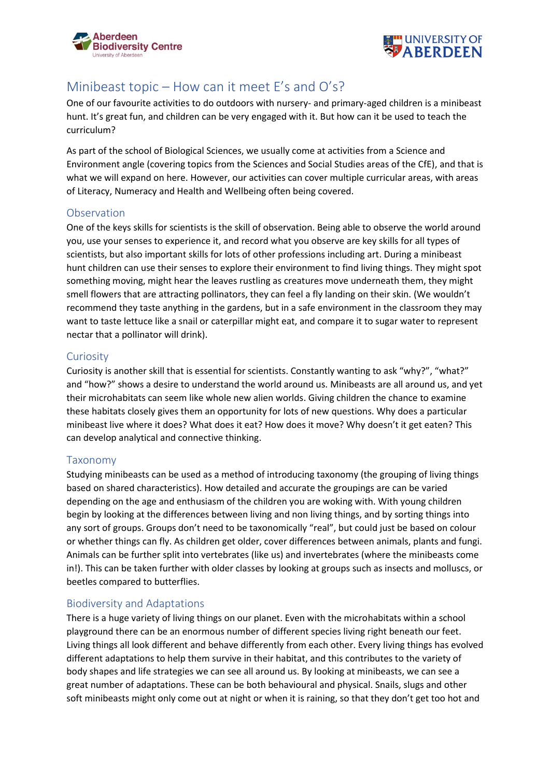



# Minibeast topic – How can it meet E's and O's?

One of our favourite activities to do outdoors with nursery- and primary-aged children is a minibeast hunt. It's great fun, and children can be very engaged with it. But how can it be used to teach the curriculum?

As part of the school of Biological Sciences, we usually come at activities from a Science and Environment angle (covering topics from the Sciences and Social Studies areas of the CfE), and that is what we will expand on here. However, our activities can cover multiple curricular areas, with areas of Literacy, Numeracy and Health and Wellbeing often being covered.

## Observation

One of the keys skills for scientists is the skill of observation. Being able to observe the world around you, use your senses to experience it, and record what you observe are key skills for all types of scientists, but also important skills for lots of other professions including art. During a minibeast hunt children can use their senses to explore their environment to find living things. They might spot something moving, might hear the leaves rustling as creatures move underneath them, they might smell flowers that are attracting pollinators, they can feel a fly landing on their skin. (We wouldn't recommend they taste anything in the gardens, but in a safe environment in the classroom they may want to taste lettuce like a snail or caterpillar might eat, and compare it to sugar water to represent nectar that a pollinator will drink).

## **Curiosity**

Curiosity is another skill that is essential for scientists. Constantly wanting to ask "why?", "what?" and "how?" shows a desire to understand the world around us. Minibeasts are all around us, and yet their microhabitats can seem like whole new alien worlds. Giving children the chance to examine these habitats closely gives them an opportunity for lots of new questions. Why does a particular minibeast live where it does? What does it eat? How does it move? Why doesn't it get eaten? This can develop analytical and connective thinking.

# Taxonomy

Studying minibeasts can be used as a method of introducing taxonomy (the grouping of living things based on shared characteristics). How detailed and accurate the groupings are can be varied depending on the age and enthusiasm of the children you are woking with. With young children begin by looking at the differences between living and non living things, and by sorting things into any sort of groups. Groups don't need to be taxonomically "real", but could just be based on colour or whether things can fly. As children get older, cover differences between animals, plants and fungi. Animals can be further split into vertebrates (like us) and invertebrates (where the minibeasts come in!). This can be taken further with older classes by looking at groups such as insects and molluscs, or beetles compared to butterflies.

# Biodiversity and Adaptations

There is a huge variety of living things on our planet. Even with the microhabitats within a school playground there can be an enormous number of different species living right beneath our feet. Living things all look different and behave differently from each other. Every living things has evolved different adaptations to help them survive in their habitat, and this contributes to the variety of body shapes and life strategies we can see all around us. By looking at minibeasts, we can see a great number of adaptations. These can be both behavioural and physical. Snails, slugs and other soft minibeasts might only come out at night or when it is raining, so that they don't get too hot and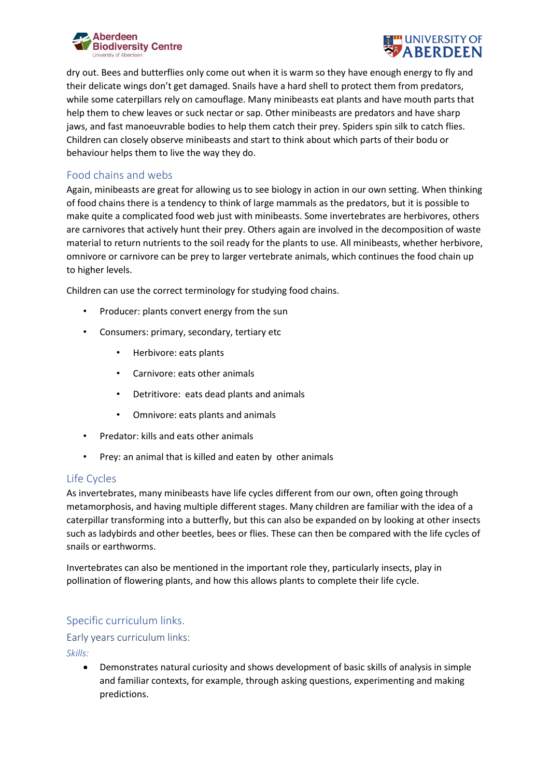



dry out. Bees and butterflies only come out when it is warm so they have enough energy to fly and their delicate wings don't get damaged. Snails have a hard shell to protect them from predators, while some caterpillars rely on camouflage. Many minibeasts eat plants and have mouth parts that help them to chew leaves or suck nectar or sap. Other minibeasts are predators and have sharp jaws, and fast manoeuvrable bodies to help them catch their prey. Spiders spin silk to catch flies. Children can closely observe minibeasts and start to think about which parts of their bodu or behaviour helps them to live the way they do.

## Food chains and webs

Again, minibeasts are great for allowing us to see biology in action in our own setting. When thinking of food chains there is a tendency to think of large mammals as the predators, but it is possible to make quite a complicated food web just with minibeasts. Some invertebrates are herbivores, others are carnivores that actively hunt their prey. Others again are involved in the decomposition of waste material to return nutrients to the soil ready for the plants to use. All minibeasts, whether herbivore, omnivore or carnivore can be prey to larger vertebrate animals, which continues the food chain up to higher levels.

Children can use the correct terminology for studying food chains.

- Producer: plants convert energy from the sun
- Consumers: primary, secondary, tertiary etc
	- Herbivore: eats plants
	- Carnivore: eats other animals
	- Detritivore: eats dead plants and animals
	- Omnivore: eats plants and animals
- Predator: kills and eats other animals
- Prey: an animal that is killed and eaten by other animals

# Life Cycles

As invertebrates, many minibeasts have life cycles different from our own, often going through metamorphosis, and having multiple different stages. Many children are familiar with the idea of a caterpillar transforming into a butterfly, but this can also be expanded on by looking at other insects such as ladybirds and other beetles, bees or flies. These can then be compared with the life cycles of snails or earthworms.

Invertebrates can also be mentioned in the important role they, particularly insects, play in pollination of flowering plants, and how this allows plants to complete their life cycle.

# Specific curriculum links.

# Early years curriculum links:

*Skills:*

• Demonstrates natural curiosity and shows development of basic skills of analysis in simple and familiar contexts, for example, through asking questions, experimenting and making predictions.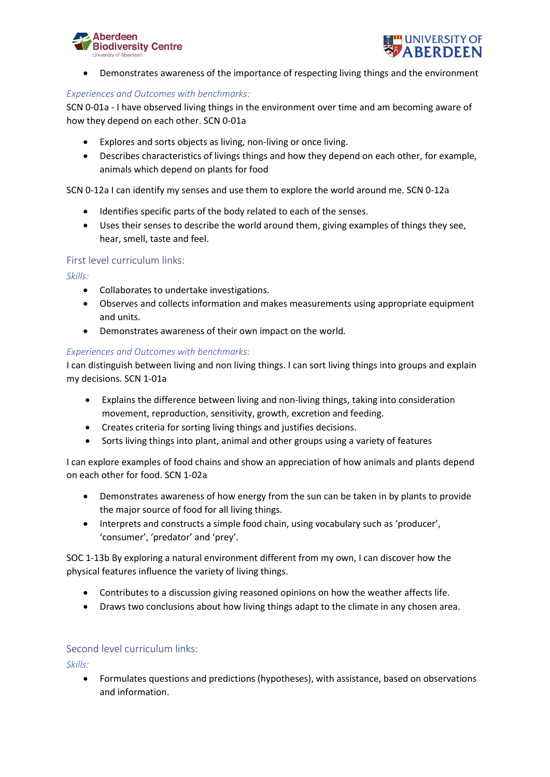



• Demonstrates awareness of the importance of respecting living things and the environment

#### *Experiences and Outcomes with benchmarks:*

SCN 0-01a - I have observed living things in the environment over time and am becoming aware of how they depend on each other. SCN 0-01a

- Explores and sorts objects as living, non-living or once living.
- Describes characteristics of livings things and how they depend on each other, for example, animals which depend on plants for food

SCN 0-12a I can identify my senses and use them to explore the world around me. SCN 0-12a

- Identifies specific parts of the body related to each of the senses.
- Uses their senses to describe the world around them, giving examples of things they see, hear, smell, taste and feel.

#### First level curriculum links:

*Skills:*

- Collaborates to undertake investigations.
- Observes and collects information and makes measurements using appropriate equipment and units.
- Demonstrates awareness of their own impact on the world.

#### *Experiences and Outcomes with benchmarks:*

I can distinguish between living and non living things. I can sort living things into groups and explain my decisions. SCN 1-01a

- Explains the difference between living and non-living things, taking into consideration movement, reproduction, sensitivity, growth, excretion and feeding.
- Creates criteria for sorting living things and justifies decisions.
- Sorts living things into plant, animal and other groups using a variety of features

I can explore examples of food chains and show an appreciation of how animals and plants depend on each other for food. SCN 1-02a

- Demonstrates awareness of how energy from the sun can be taken in by plants to provide the major source of food for all living things.
- Interprets and constructs a simple food chain, using vocabulary such as 'producer', 'consumer', 'predator' and 'prey'.

SOC 1-13b By exploring a natural environment different from my own, I can discover how the physical features influence the variety of living things.

- Contributes to a discussion giving reasoned opinions on how the weather affects life.
- Draws two conclusions about how living things adapt to the climate in any chosen area.

#### Second level curriculum links:

*Skills:*

• Formulates questions and predictions (hypotheses), with assistance, based on observations and information.